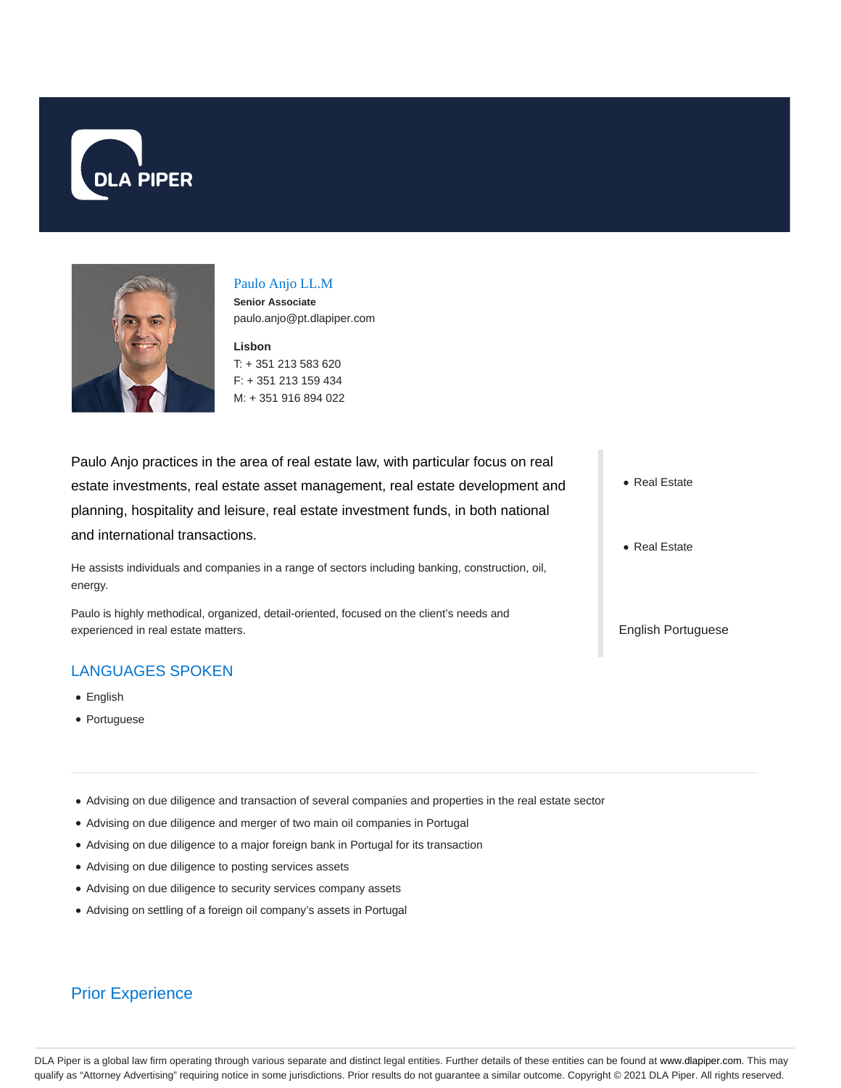



# Paulo Anjo LL.M

**Senior Associate** paulo.anjo@pt.dlapiper.com

**Lisbon** T: + 351 213 583 620 F: + 351 213 159 434 M: + 351 916 894 022

Paulo Anjo practices in the area of real estate law, with particular focus on real estate investments, real estate asset management, real estate development and planning, hospitality and leisure, real estate investment funds, in both national and international transactions.

He assists individuals and companies in a range of sectors including banking, construction, oil, energy.

Paulo is highly methodical, organized, detail-oriented, focused on the client's needs and experienced in real estate matters.

## LANGUAGES SPOKEN

- English
- Portuguese

Advising on due diligence and transaction of several companies and properties in the real estate sector

- Advising on due diligence and merger of two main oil companies in Portugal
- Advising on due diligence to a major foreign bank in Portugal for its transaction
- Advising on due diligence to posting services assets
- Advising on due diligence to security services company assets
- Advising on settling of a foreign oil company's assets in Portugal

## Prior Experience

- Real Estate
- Real Estate

English Portuguese